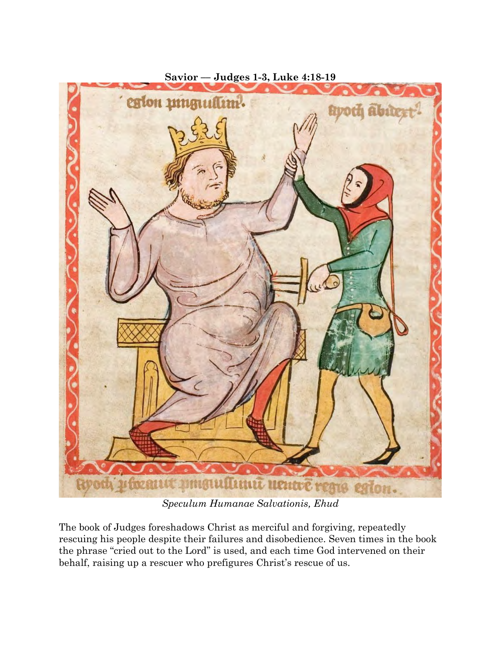

**Savior –– Judges 1-3, Luke 4:18-19**

*Speculum Humanae Salvationis, Ehud*

The book of Judges foreshadows Christ as merciful and forgiving, repeatedly rescuing his people despite their failures and disobedience. Seven times in the book the phrase "cried out to the Lord" is used, and each time God intervened on their behalf, raising up a rescuer who prefigures Christ's rescue of us.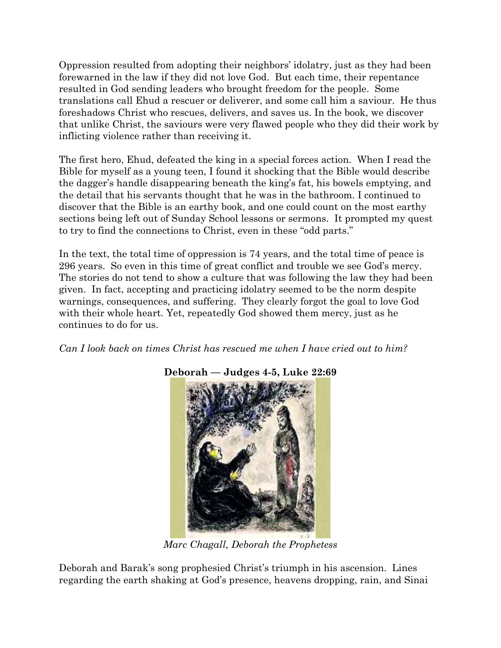Oppression resulted from adopting their neighbors' idolatry, just as they had been forewarned in the law if they did not love God. But each time, their repentance resulted in God sending leaders who brought freedom for the people. Some translations call Ehud a rescuer or deliverer, and some call him a saviour. He thus foreshadows Christ who rescues, delivers, and saves us. In the book, we discover that unlike Christ, the saviours were very flawed people who they did their work by inflicting violence rather than receiving it.

The first hero, Ehud, defeated the king in a special forces action. When I read the Bible for myself as a young teen, I found it shocking that the Bible would describe the dagger's handle disappearing beneath the king's fat, his bowels emptying, and the detail that his servants thought that he was in the bathroom. I continued to discover that the Bible is an earthy book, and one could count on the most earthy sections being left out of Sunday School lessons or sermons. It prompted my quest to try to find the connections to Christ, even in these "odd parts."

In the text, the total time of oppression is 74 years, and the total time of peace is 296 years. So even in this time of great conflict and trouble we see God's mercy. The stories do not tend to show a culture that was following the law they had been given. In fact, accepting and practicing idolatry seemed to be the norm despite warnings, consequences, and suffering. They clearly forgot the goal to love God with their whole heart. Yet, repeatedly God showed them mercy, just as he continues to do for us.

*Can I look back on times Christ has rescued me when I have cried out to him?*



## **Deborah –– Judges 4-5, Luke 22:69**

*Marc Chagall, Deborah the Prophetess*

Deborah and Barak's song prophesied Christ's triumph in his ascension. Lines regarding the earth shaking at God's presence, heavens dropping, rain, and Sinai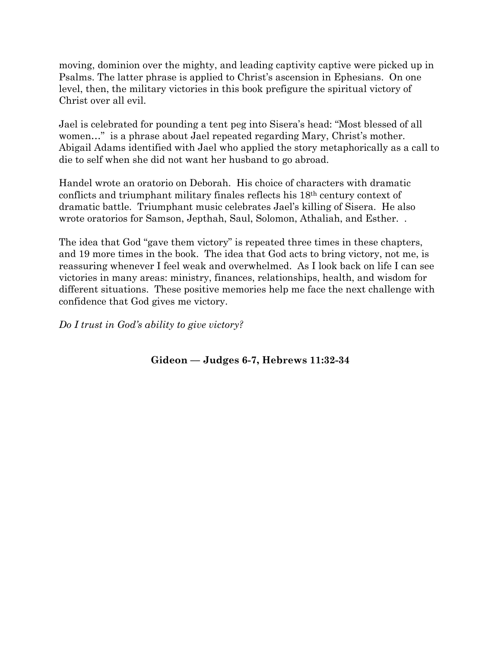moving, dominion over the mighty, and leading captivity captive were picked up in Psalms. The latter phrase is applied to Christ's ascension in Ephesians. On one level, then, the military victories in this book prefigure the spiritual victory of Christ over all evil.

Jael is celebrated for pounding a tent peg into Sisera's head: "Most blessed of all women…" is a phrase about Jael repeated regarding Mary, Christ's mother. Abigail Adams identified with Jael who applied the story metaphorically as a call to die to self when she did not want her husband to go abroad.

Handel wrote an oratorio on Deborah. His choice of characters with dramatic conflicts and triumphant military finales reflects his 18th century context of dramatic battle. Triumphant music celebrates Jael's killing of Sisera. He also wrote oratorios for Samson, Jepthah, Saul, Solomon, Athaliah, and Esther. .

The idea that God "gave them victory" is repeated three times in these chapters, and 19 more times in the book. The idea that God acts to bring victory, not me, is reassuring whenever I feel weak and overwhelmed. As I look back on life I can see victories in many areas: ministry, finances, relationships, health, and wisdom for different situations. These positive memories help me face the next challenge with confidence that God gives me victory.

*Do I trust in God's ability to give victory?*

**Gideon –– Judges 6-7, Hebrews 11:32-34**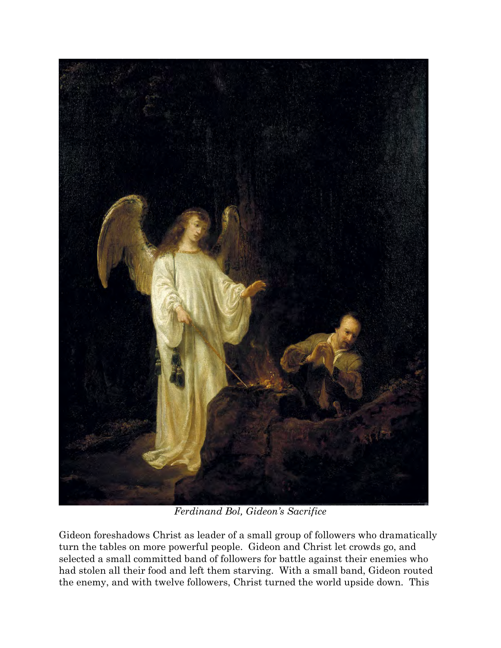

*Ferdinand Bol, Gideon's Sacrifice*

Gideon foreshadows Christ as leader of a small group of followers who dramatically turn the tables on more powerful people. Gideon and Christ let crowds go, and selected a small committed band of followers for battle against their enemies who had stolen all their food and left them starving. With a small band, Gideon routed the enemy, and with twelve followers, Christ turned the world upside down. This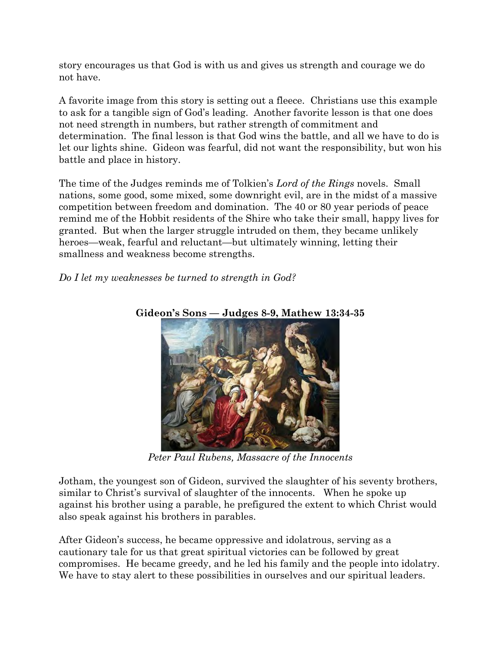story encourages us that God is with us and gives us strength and courage we do not have.

A favorite image from this story is setting out a fleece. Christians use this example to ask for a tangible sign of God's leading. Another favorite lesson is that one does not need strength in numbers, but rather strength of commitment and determination. The final lesson is that God wins the battle, and all we have to do is let our lights shine. Gideon was fearful, did not want the responsibility, but won his battle and place in history.

The time of the Judges reminds me of Tolkien's *Lord of the Rings* novels. Small nations, some good, some mixed, some downright evil, are in the midst of a massive competition between freedom and domination. The 40 or 80 year periods of peace remind me of the Hobbit residents of the Shire who take their small, happy lives for granted. But when the larger struggle intruded on them, they became unlikely heroes—weak, fearful and reluctant—but ultimately winning, letting their smallness and weakness become strengths.

*Do I let my weaknesses be turned to strength in God?*



**Gideon's Sons –– Judges 8-9, Mathew 13:34-35**

*Peter Paul Rubens, Massacre of the Innocents*

Jotham, the youngest son of Gideon, survived the slaughter of his seventy brothers, similar to Christ's survival of slaughter of the innocents. When he spoke up against his brother using a parable, he prefigured the extent to which Christ would also speak against his brothers in parables.

After Gideon's success, he became oppressive and idolatrous, serving as a cautionary tale for us that great spiritual victories can be followed by great compromises. He became greedy, and he led his family and the people into idolatry. We have to stay alert to these possibilities in ourselves and our spiritual leaders.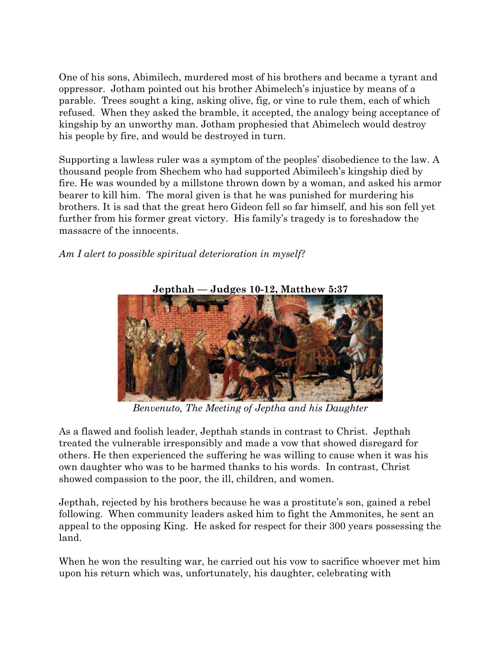One of his sons, Abimilech, murdered most of his brothers and became a tyrant and oppressor. Jotham pointed out his brother Abimelech's injustice by means of a parable. Trees sought a king, asking olive, fig, or vine to rule them, each of which refused. When they asked the bramble, it accepted, the analogy being acceptance of kingship by an unworthy man. Jotham prophesied that Abimelech would destroy his people by fire, and would be destroyed in turn.

Supporting a lawless ruler was a symptom of the peoples' disobedience to the law. A thousand people from Shechem who had supported Abimilech's kingship died by fire. He was wounded by a millstone thrown down by a woman, and asked his armor bearer to kill him. The moral given is that he was punished for murdering his brothers. It is sad that the great hero Gideon fell so far himself, and his son fell yet further from his former great victory. His family's tragedy is to foreshadow the massacre of the innocents.

*Am I alert to possible spiritual deterioration in myself?*



*Benvenuto, The Meeting of Jeptha and his Daughter*

As a flawed and foolish leader, Jepthah stands in contrast to Christ. Jepthah treated the vulnerable irresponsibly and made a vow that showed disregard for others. He then experienced the suffering he was willing to cause when it was his own daughter who was to be harmed thanks to his words. In contrast, Christ showed compassion to the poor, the ill, children, and women.

Jepthah, rejected by his brothers because he was a prostitute's son, gained a rebel following. When community leaders asked him to fight the Ammonites, he sent an appeal to the opposing King. He asked for respect for their 300 years possessing the land.

When he won the resulting war, he carried out his vow to sacrifice whoever met him upon his return which was, unfortunately, his daughter, celebrating with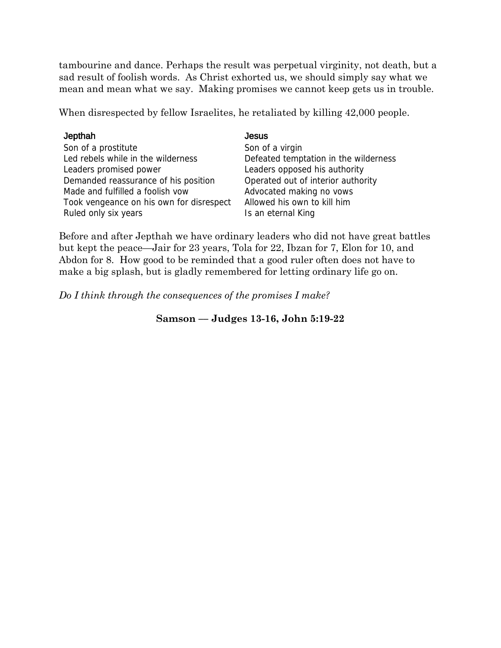tambourine and dance. Perhaps the result was perpetual virginity, not death, but a sad result of foolish words. As Christ exhorted us, we should simply say what we mean and mean what we say. Making promises we cannot keep gets us in trouble.

When disrespected by fellow Israelites, he retaliated by killing 42,000 people.

| Jepthah                                  | <b>Jesus</b>                          |
|------------------------------------------|---------------------------------------|
| Son of a prostitute                      | Son of a virgin                       |
| Led rebels while in the wilderness       | Defeated temptation in the wilderness |
| Leaders promised power                   | Leaders opposed his authority         |
| Demanded reassurance of his position     | Operated out of interior authority    |
| Made and fulfilled a foolish vow         | Advocated making no vows              |
| Took vengeance on his own for disrespect | Allowed his own to kill him           |
| Ruled only six years                     | Is an eternal King                    |

Before and after Jepthah we have ordinary leaders who did not have great battles but kept the peace—Jair for 23 years, Tola for 22, Ibzan for 7, Elon for 10, and Abdon for 8. How good to be reminded that a good ruler often does not have to make a big splash, but is gladly remembered for letting ordinary life go on.

*Do I think through the consequences of the promises I make?*

## **Samson –– Judges 13-16, John 5:19-22**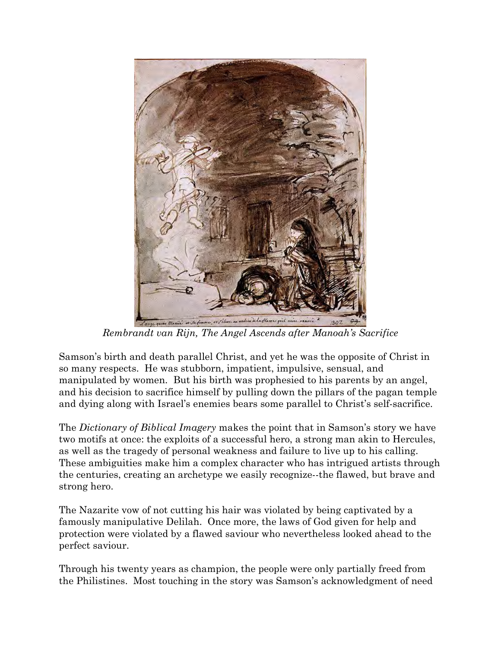

*Rembrandt van Rijn, The Angel Ascends after Manoah's Sacrifice*

Samson's birth and death parallel Christ, and yet he was the opposite of Christ in so many respects. He was stubborn, impatient, impulsive, sensual, and manipulated by women. But his birth was prophesied to his parents by an angel, and his decision to sacrifice himself by pulling down the pillars of the pagan temple and dying along with Israel's enemies bears some parallel to Christ's self-sacrifice.

The *Dictionary of Biblical Imagery* makes the point that in Samson's story we have two motifs at once: the exploits of a successful hero, a strong man akin to Hercules, as well as the tragedy of personal weakness and failure to live up to his calling. These ambiguities make him a complex character who has intrigued artists through the centuries, creating an archetype we easily recognize--the flawed, but brave and strong hero.

The Nazarite vow of not cutting his hair was violated by being captivated by a famously manipulative Delilah. Once more, the laws of God given for help and protection were violated by a flawed saviour who nevertheless looked ahead to the perfect saviour.

Through his twenty years as champion, the people were only partially freed from the Philistines. Most touching in the story was Samson's acknowledgment of need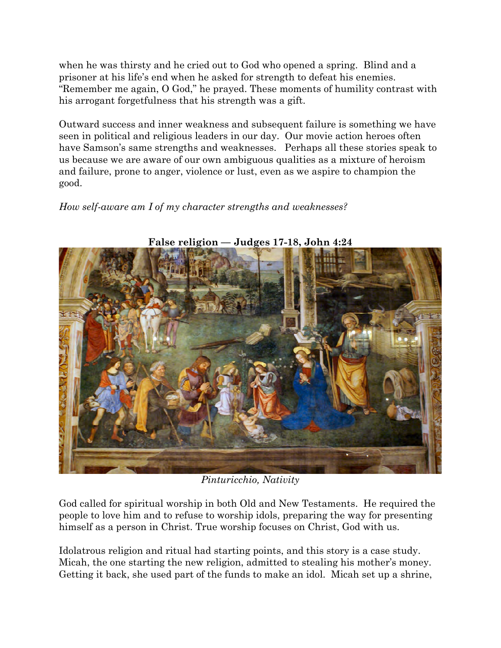when he was thirsty and he cried out to God who opened a spring. Blind and a prisoner at his life's end when he asked for strength to defeat his enemies. "Remember me again, O God," he prayed. These moments of humility contrast with his arrogant forgetfulness that his strength was a gift.

Outward success and inner weakness and subsequent failure is something we have seen in political and religious leaders in our day. Our movie action heroes often have Samson's same strengths and weaknesses. Perhaps all these stories speak to us because we are aware of our own ambiguous qualities as a mixture of heroism and failure, prone to anger, violence or lust, even as we aspire to champion the good.

*How self-aware am I of my character strengths and weaknesses?*



**False religion –– Judges 17-18, John 4:24**

*Pinturicchio, Nativity*

God called for spiritual worship in both Old and New Testaments. He required the people to love him and to refuse to worship idols, preparing the way for presenting himself as a person in Christ. True worship focuses on Christ, God with us.

Idolatrous religion and ritual had starting points, and this story is a case study. Micah, the one starting the new religion, admitted to stealing his mother's money. Getting it back, she used part of the funds to make an idol. Micah set up a shrine,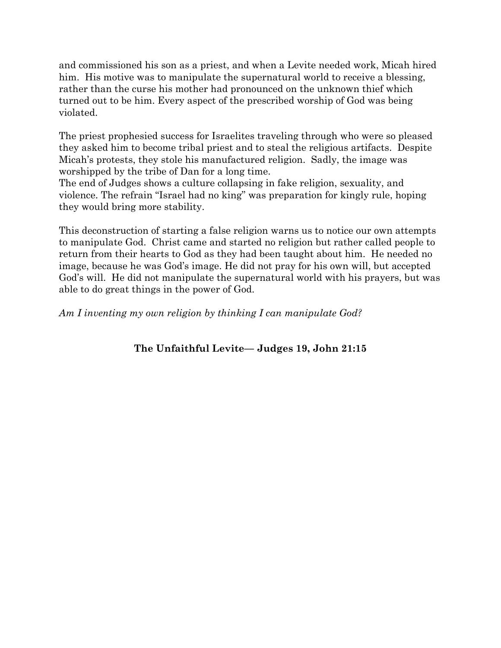and commissioned his son as a priest, and when a Levite needed work, Micah hired him. His motive was to manipulate the supernatural world to receive a blessing, rather than the curse his mother had pronounced on the unknown thief which turned out to be him. Every aspect of the prescribed worship of God was being violated.

The priest prophesied success for Israelites traveling through who were so pleased they asked him to become tribal priest and to steal the religious artifacts. Despite Micah's protests, they stole his manufactured religion. Sadly, the image was worshipped by the tribe of Dan for a long time.

The end of Judges shows a culture collapsing in fake religion, sexuality, and violence. The refrain "Israel had no king" was preparation for kingly rule, hoping they would bring more stability.

This deconstruction of starting a false religion warns us to notice our own attempts to manipulate God. Christ came and started no religion but rather called people to return from their hearts to God as they had been taught about him. He needed no image, because he was God's image. He did not pray for his own will, but accepted God's will. He did not manipulate the supernatural world with his prayers, but was able to do great things in the power of God.

*Am I inventing my own religion by thinking I can manipulate God?*

## **The Unfaithful Levite–– Judges 19, John 21:15**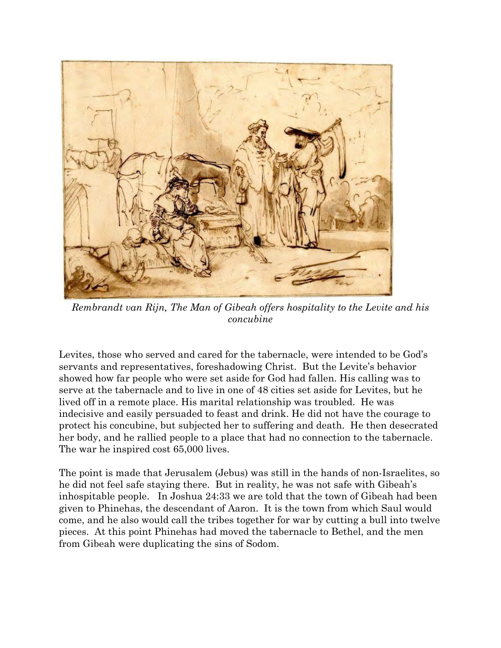

*Rembrandt van Rijn, The Man of Gibeah offers hospitality to the Levite and his concubine*

Levites, those who served and cared for the tabernacle, were intended to be God's servants and representatives, foreshadowing Christ. But the Levite's behavior showed how far people who were set aside for God had fallen. His calling was to serve at the tabernacle and to live in one of 48 cities set aside for Levites, but he lived off in a remote place. His marital relationship was troubled. He was indecisive and easily persuaded to feast and drink. He did not have the courage to protect his concubine, but subjected her to suffering and death. He then desecrated her body, and he rallied people to a place that had no connection to the tabernacle. The war he inspired cost 65,000 lives.

The point is made that Jerusalem (Jebus) was still in the hands of non-Israelites, so he did not feel safe staying there. But in reality, he was not safe with Gibeah's inhospitable people. In Joshua 24:33 we are told that the town of Gibeah had been given to Phinehas, the descendant of Aaron. It is the town from which Saul would come, and he also would call the tribes together for war by cutting a bull into twelve pieces. At this point Phinehas had moved the tabernacle to Bethel, and the men from Gibeah were duplicating the sins of Sodom.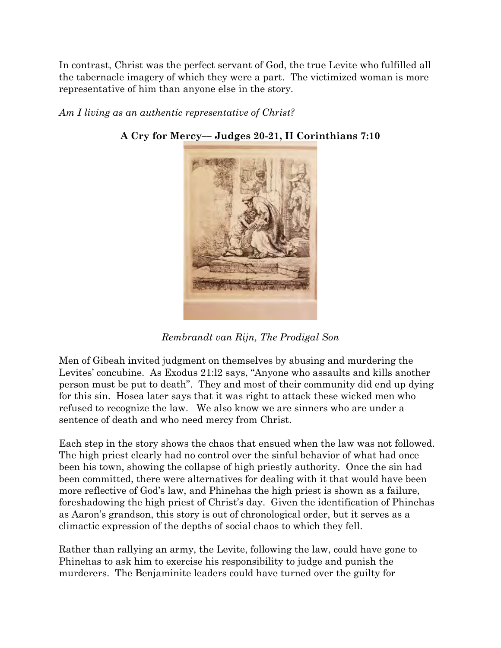In contrast, Christ was the perfect servant of God, the true Levite who fulfilled all the tabernacle imagery of which they were a part. The victimized woman is more representative of him than anyone else in the story.

## *Am I living as an authentic representative of Christ?*



**A Cry for Mercy–– Judges 20-21, II Corinthians 7:10**

*Rembrandt van Rijn, The Prodigal Son*

Men of Gibeah invited judgment on themselves by abusing and murdering the Levites' concubine. As Exodus 21:l2 says, "Anyone who assaults and kills another person must be put to death". They and most of their community did end up dying for this sin. Hosea later says that it was right to attack these wicked men who refused to recognize the law. We also know we are sinners who are under a sentence of death and who need mercy from Christ.

Each step in the story shows the chaos that ensued when the law was not followed. The high priest clearly had no control over the sinful behavior of what had once been his town, showing the collapse of high priestly authority. Once the sin had been committed, there were alternatives for dealing with it that would have been more reflective of God's law, and Phinehas the high priest is shown as a failure, foreshadowing the high priest of Christ's day. Given the identification of Phinehas as Aaron's grandson, this story is out of chronological order, but it serves as a climactic expression of the depths of social chaos to which they fell.

Rather than rallying an army, the Levite, following the law, could have gone to Phinehas to ask him to exercise his responsibility to judge and punish the murderers. The Benjaminite leaders could have turned over the guilty for